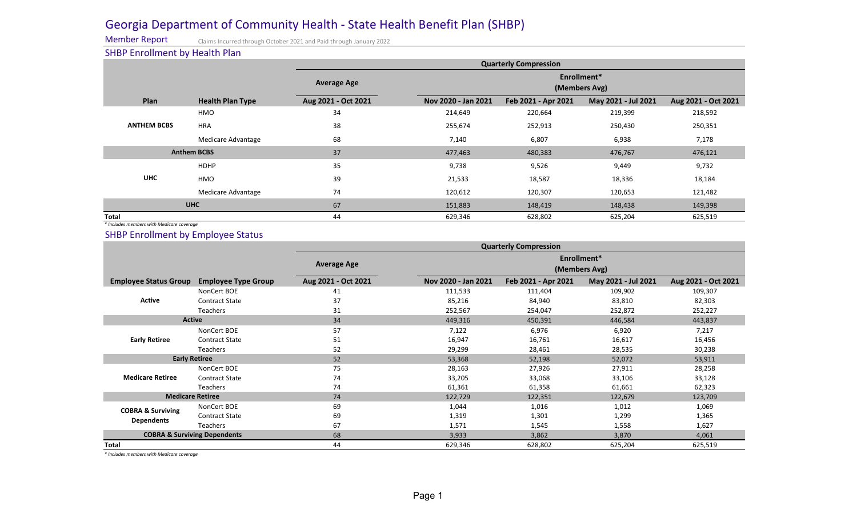## Georgia Department of Community Health - State Health Benefit Plan (SHBP)

Member Report

Claims Incurred through October 2021 and Paid through January 2022

SHBP Enrollment by Health Plan

|                    | . .                     |                     | <b>Quarterly Compression</b> |                     |                     |                     |  |  |
|--------------------|-------------------------|---------------------|------------------------------|---------------------|---------------------|---------------------|--|--|
|                    |                         | <b>Average Age</b>  | Enrollment*<br>(Members Avg) |                     |                     |                     |  |  |
| Plan               | <b>Health Plan Type</b> | Aug 2021 - Oct 2021 | Nov 2020 - Jan 2021          | Feb 2021 - Apr 2021 | May 2021 - Jul 2021 | Aug 2021 - Oct 2021 |  |  |
| <b>ANTHEM BCBS</b> | HMO                     | 34                  | 214,649                      | 220,664             | 219,399             | 218,592             |  |  |
|                    | <b>HRA</b>              | 38                  | 255,674                      | 252,913             | 250,430             | 250,351             |  |  |
|                    | Medicare Advantage      | 68                  | 7,140                        | 6,807               | 6,938               | 7,178               |  |  |
| <b>Anthem BCBS</b> |                         | 37                  | 477,463                      | 480,383             | 476,767             | 476,121             |  |  |
| <b>UHC</b>         | <b>HDHP</b>             | 35                  | 9,738                        | 9,526               | 9,449               | 9,732               |  |  |
|                    | HMO                     | 39                  | 21,533                       | 18,587              | 18,336              | 18,184              |  |  |
|                    | Medicare Advantage      | 74                  | 120,612                      | 120,307             | 120,653             | 121,482             |  |  |
| <b>UHC</b>         |                         | 67                  | 151,883                      | 148,419             | 148,438             | 149,398             |  |  |
| <b>Total</b>       |                         | 44                  | 629,346                      | 628,802             | 625,204             | 625,519             |  |  |

*\* Includes members with Medicare coverage*

SHBP Enrollment by Employee Status

|                                                   |                            | <b>Quarterly Compression</b> |                              |                     |                     |                     |  |  |
|---------------------------------------------------|----------------------------|------------------------------|------------------------------|---------------------|---------------------|---------------------|--|--|
|                                                   |                            | <b>Average Age</b>           | Enrollment*<br>(Members Avg) |                     |                     |                     |  |  |
| <b>Employee Status Group</b>                      | <b>Employee Type Group</b> | Aug 2021 - Oct 2021          | Nov 2020 - Jan 2021          | Feb 2021 - Apr 2021 | May 2021 - Jul 2021 | Aug 2021 - Oct 2021 |  |  |
| <b>Active</b>                                     | NonCert BOE                | 41                           | 111,533                      | 111,404             | 109,902             | 109,307             |  |  |
|                                                   | <b>Contract State</b>      | 37                           | 85,216                       | 84,940              | 83,810              | 82,303              |  |  |
|                                                   | <b>Teachers</b>            | 31                           | 252,567                      | 254,047             | 252,872             | 252,227             |  |  |
| <b>Active</b>                                     |                            | 34                           | 449,316                      | 450,391             | 446,584             | 443,837             |  |  |
| <b>Early Retiree</b>                              | NonCert BOE                | 57                           | 7,122                        | 6,976               | 6,920               | 7,217               |  |  |
|                                                   | <b>Contract State</b>      | 51                           | 16,947                       | 16,761              | 16,617              | 16,456              |  |  |
|                                                   | Teachers                   | 52                           | 29,299                       | 28,461              | 28,535              | 30,238              |  |  |
| <b>Early Retiree</b>                              |                            | 52                           | 53,368                       | 52,198              | 52,072              | 53,911              |  |  |
| <b>Medicare Retiree</b>                           | NonCert BOE                | 75                           | 28,163                       | 27,926              | 27,911              | 28,258              |  |  |
|                                                   | <b>Contract State</b>      | 74                           | 33,205                       | 33,068              | 33,106              | 33,128              |  |  |
|                                                   | <b>Teachers</b>            | 74                           | 61,361                       | 61,358              | 61,661              | 62,323              |  |  |
| <b>Medicare Retiree</b>                           |                            | 74                           | 122,729                      | 122,351             | 122,679             | 123,709             |  |  |
| <b>COBRA &amp; Surviving</b><br><b>Dependents</b> | NonCert BOE                | 69                           | 1,044                        | 1,016               | 1,012               | 1,069               |  |  |
|                                                   | <b>Contract State</b>      | 69                           | 1,319                        | 1,301               | 1,299               | 1,365               |  |  |
|                                                   | Teachers                   | 67                           | 1,571                        | 1,545               | 1,558               | 1,627               |  |  |
| <b>COBRA &amp; Surviving Dependents</b>           |                            | 68                           | 3,933                        | 3,862               | 3,870               | 4,061               |  |  |
| Total                                             |                            | 44                           | 629,346                      | 628,802             | 625,204             | 625,519             |  |  |

*\* Includes members with Medicare coverage*